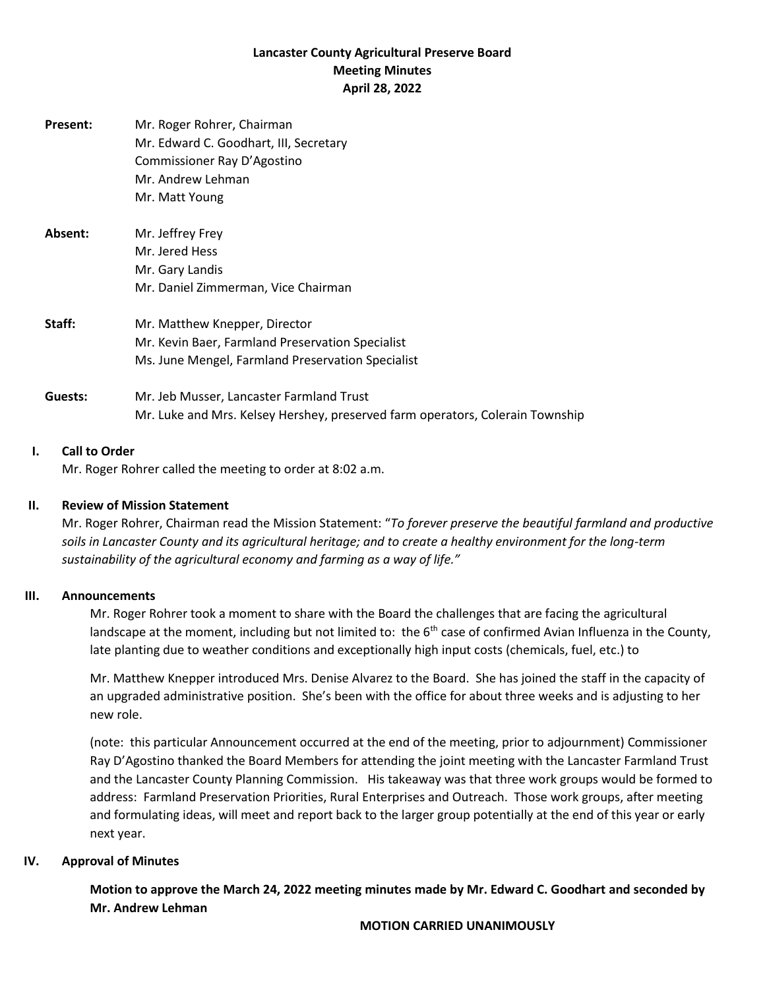# **Lancaster County Agricultural Preserve Board Meeting Minutes April 28, 2022**

| <b>Present:</b> | Mr. Roger Rohrer, Chairman<br>Mr. Edward C. Goodhart, III, Secretary<br>Commissioner Ray D'Agostino<br>Mr. Andrew Lehman<br>Mr. Matt Young |
|-----------------|--------------------------------------------------------------------------------------------------------------------------------------------|
| Absent:         | Mr. Jeffrey Frey<br>Mr. Jered Hess<br>Mr. Gary Landis<br>Mr. Daniel Zimmerman, Vice Chairman                                               |
| Staff:          | Mr. Matthew Knepper, Director<br>Mr. Kevin Baer, Farmland Preservation Specialist<br>Ms. June Mengel, Farmland Preservation Specialist     |
| Guests:         | Mr. Jeb Musser, Lancaster Farmland Trust<br>Mr. Luke and Mrs. Kelsey Hershey, preserved farm operators, Colerain Township                  |

### **I. Call to Order**

Mr. Roger Rohrer called the meeting to order at 8:02 a.m.

# **II. Review of Mission Statement**

Mr. Roger Rohrer, Chairman read the Mission Statement: "*To forever preserve the beautiful farmland and productive soils in Lancaster County and its agricultural heritage; and to create a healthy environment for the long-term sustainability of the agricultural economy and farming as a way of life."*

### **III. Announcements**

Mr. Roger Rohrer took a moment to share with the Board the challenges that are facing the agricultural landscape at the moment, including but not limited to: the  $6<sup>th</sup>$  case of confirmed Avian Influenza in the County, late planting due to weather conditions and exceptionally high input costs (chemicals, fuel, etc.) to

Mr. Matthew Knepper introduced Mrs. Denise Alvarez to the Board. She has joined the staff in the capacity of an upgraded administrative position. She's been with the office for about three weeks and is adjusting to her new role.

(note: this particular Announcement occurred at the end of the meeting, prior to adjournment) Commissioner Ray D'Agostino thanked the Board Members for attending the joint meeting with the Lancaster Farmland Trust and the Lancaster County Planning Commission. His takeaway was that three work groups would be formed to address: Farmland Preservation Priorities, Rural Enterprises and Outreach. Those work groups, after meeting and formulating ideas, will meet and report back to the larger group potentially at the end of this year or early next year.

### **IV. Approval of Minutes**

**Motion to approve the March 24, 2022 meeting minutes made by Mr. Edward C. Goodhart and seconded by Mr. Andrew Lehman**

#### **MOTION CARRIED UNANIMOUSLY**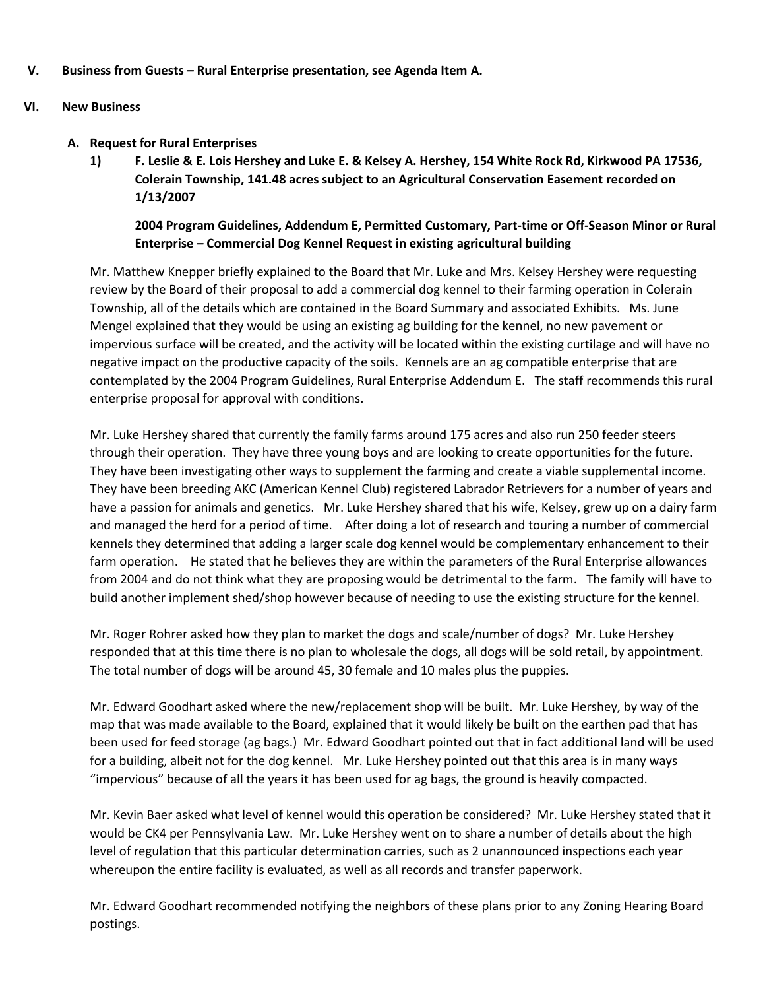**V. Business from Guests – Rural Enterprise presentation, see Agenda Item A.**

## **VI. New Business**

- **A. Request for Rural Enterprises**
	- **1) F. Leslie & E. Lois Hershey and Luke E. & Kelsey A. Hershey, 154 White Rock Rd, Kirkwood PA 17536, Colerain Township, 141.48 acres subject to an Agricultural Conservation Easement recorded on 1/13/2007**

**2004 Program Guidelines, Addendum E, Permitted Customary, Part-time or Off-Season Minor or Rural Enterprise – Commercial Dog Kennel Request in existing agricultural building**

Mr. Matthew Knepper briefly explained to the Board that Mr. Luke and Mrs. Kelsey Hershey were requesting review by the Board of their proposal to add a commercial dog kennel to their farming operation in Colerain Township, all of the details which are contained in the Board Summary and associated Exhibits. Ms. June Mengel explained that they would be using an existing ag building for the kennel, no new pavement or impervious surface will be created, and the activity will be located within the existing curtilage and will have no negative impact on the productive capacity of the soils. Kennels are an ag compatible enterprise that are contemplated by the 2004 Program Guidelines, Rural Enterprise Addendum E. The staff recommends this rural enterprise proposal for approval with conditions.

Mr. Luke Hershey shared that currently the family farms around 175 acres and also run 250 feeder steers through their operation. They have three young boys and are looking to create opportunities for the future. They have been investigating other ways to supplement the farming and create a viable supplemental income. They have been breeding AKC (American Kennel Club) registered Labrador Retrievers for a number of years and have a passion for animals and genetics. Mr. Luke Hershey shared that his wife, Kelsey, grew up on a dairy farm and managed the herd for a period of time. After doing a lot of research and touring a number of commercial kennels they determined that adding a larger scale dog kennel would be complementary enhancement to their farm operation. He stated that he believes they are within the parameters of the Rural Enterprise allowances from 2004 and do not think what they are proposing would be detrimental to the farm. The family will have to build another implement shed/shop however because of needing to use the existing structure for the kennel.

Mr. Roger Rohrer asked how they plan to market the dogs and scale/number of dogs? Mr. Luke Hershey responded that at this time there is no plan to wholesale the dogs, all dogs will be sold retail, by appointment. The total number of dogs will be around 45, 30 female and 10 males plus the puppies.

Mr. Edward Goodhart asked where the new/replacement shop will be built. Mr. Luke Hershey, by way of the map that was made available to the Board, explained that it would likely be built on the earthen pad that has been used for feed storage (ag bags.) Mr. Edward Goodhart pointed out that in fact additional land will be used for a building, albeit not for the dog kennel. Mr. Luke Hershey pointed out that this area is in many ways "impervious" because of all the years it has been used for ag bags, the ground is heavily compacted.

Mr. Kevin Baer asked what level of kennel would this operation be considered? Mr. Luke Hershey stated that it would be CK4 per Pennsylvania Law. Mr. Luke Hershey went on to share a number of details about the high level of regulation that this particular determination carries, such as 2 unannounced inspections each year whereupon the entire facility is evaluated, as well as all records and transfer paperwork.

Mr. Edward Goodhart recommended notifying the neighbors of these plans prior to any Zoning Hearing Board postings.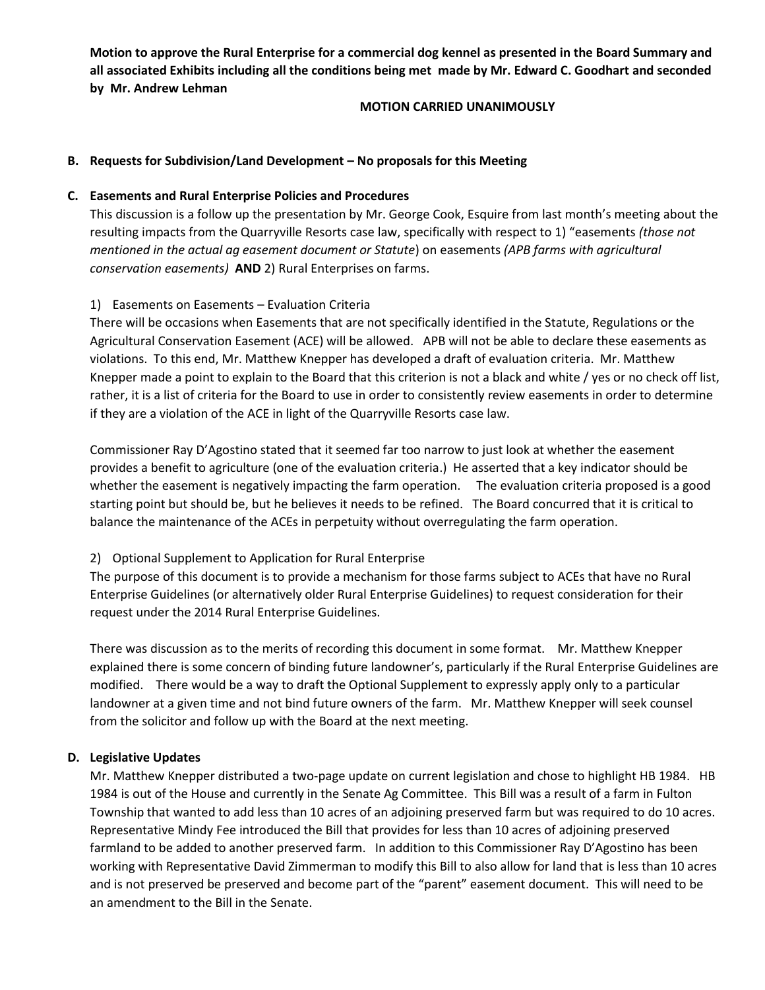**Motion to approve the Rural Enterprise for a commercial dog kennel as presented in the Board Summary and all associated Exhibits including all the conditions being met made by Mr. Edward C. Goodhart and seconded by Mr. Andrew Lehman**

#### **MOTION CARRIED UNANIMOUSLY**

## **B. Requests for Subdivision/Land Development – No proposals for this Meeting**

### **C. Easements and Rural Enterprise Policies and Procedures**

This discussion is a follow up the presentation by Mr. George Cook, Esquire from last month's meeting about the resulting impacts from the Quarryville Resorts case law, specifically with respect to 1) "easements *(those not mentioned in the actual ag easement document or Statute*) on easements *(APB farms with agricultural conservation easements)* **AND** 2) Rural Enterprises on farms.

# 1) Easements on Easements – Evaluation Criteria

There will be occasions when Easements that are not specifically identified in the Statute, Regulations or the Agricultural Conservation Easement (ACE) will be allowed. APB will not be able to declare these easements as violations. To this end, Mr. Matthew Knepper has developed a draft of evaluation criteria. Mr. Matthew Knepper made a point to explain to the Board that this criterion is not a black and white / yes or no check off list, rather, it is a list of criteria for the Board to use in order to consistently review easements in order to determine if they are a violation of the ACE in light of the Quarryville Resorts case law.

Commissioner Ray D'Agostino stated that it seemed far too narrow to just look at whether the easement provides a benefit to agriculture (one of the evaluation criteria.) He asserted that a key indicator should be whether the easement is negatively impacting the farm operation. The evaluation criteria proposed is a good starting point but should be, but he believes it needs to be refined. The Board concurred that it is critical to balance the maintenance of the ACEs in perpetuity without overregulating the farm operation.

# 2) Optional Supplement to Application for Rural Enterprise

The purpose of this document is to provide a mechanism for those farms subject to ACEs that have no Rural Enterprise Guidelines (or alternatively older Rural Enterprise Guidelines) to request consideration for their request under the 2014 Rural Enterprise Guidelines.

There was discussion as to the merits of recording this document in some format. Mr. Matthew Knepper explained there is some concern of binding future landowner's, particularly if the Rural Enterprise Guidelines are modified. There would be a way to draft the Optional Supplement to expressly apply only to a particular landowner at a given time and not bind future owners of the farm. Mr. Matthew Knepper will seek counsel from the solicitor and follow up with the Board at the next meeting.

### **D. Legislative Updates**

Mr. Matthew Knepper distributed a two-page update on current legislation and chose to highlight HB 1984. HB 1984 is out of the House and currently in the Senate Ag Committee. This Bill was a result of a farm in Fulton Township that wanted to add less than 10 acres of an adjoining preserved farm but was required to do 10 acres. Representative Mindy Fee introduced the Bill that provides for less than 10 acres of adjoining preserved farmland to be added to another preserved farm. In addition to this Commissioner Ray D'Agostino has been working with Representative David Zimmerman to modify this Bill to also allow for land that is less than 10 acres and is not preserved be preserved and become part of the "parent" easement document. This will need to be an amendment to the Bill in the Senate.